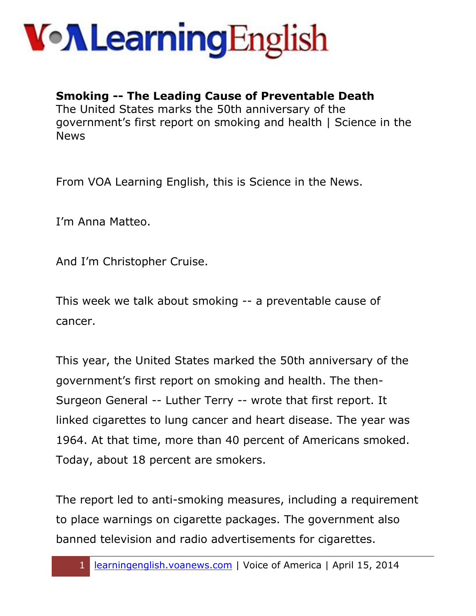

#### **Smoking -- The Leading Cause of Preventable Death**

The United States marks the 50th anniversary of the government's first report on smoking and health | Science in the News

From VOA Learning English, this is Science in the News.

I'm Anna Matteo.

And I'm Christopher Cruise.

This week we talk about smoking -- a preventable cause of cancer.

This year, the United States marked the 50th anniversary of the government's first report on smoking and health. The then-Surgeon General -- Luther Terry -- wrote that first report. It linked cigarettes to lung cancer and heart disease. The year was 1964. At that time, more than 40 percent of Americans smoked. Today, about 18 percent are smokers.

The report led to anti-smoking measures, including a requirement to place warnings on cigarette packages. The government also banned television and radio advertisements for cigarettes.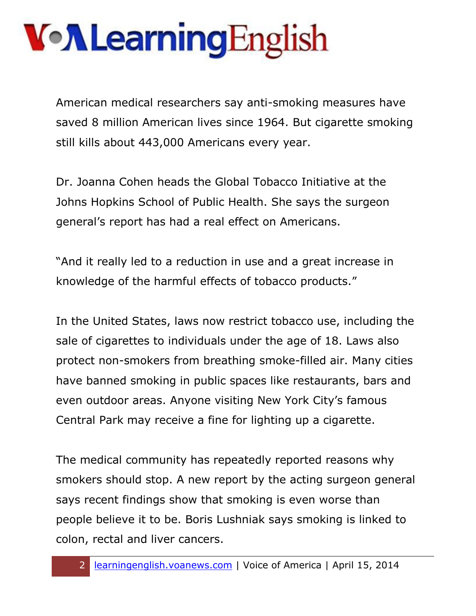American medical researchers say anti-smoking measures have saved 8 million American lives since 1964. But cigarette smoking still kills about 443,000 Americans every year.

Dr. Joanna Cohen heads the Global Tobacco Initiative at the Johns Hopkins School of Public Health. She says the surgeon general's report has had a real effect on Americans.

"And it really led to a reduction in use and a great increase in knowledge of the harmful effects of tobacco products."

In the United States, laws now restrict tobacco use, including the sale of cigarettes to individuals under the age of 18. Laws also protect non-smokers from breathing smoke-filled air. Many cities have banned smoking in public spaces like restaurants, bars and even outdoor areas. Anyone visiting New York City's famous Central Park may receive a fine for lighting up a cigarette.

The medical community has repeatedly reported reasons why smokers should stop. A new report by the acting surgeon general says recent findings show that smoking is even worse than people believe it to be. Boris Lushniak says smoking is linked to colon, rectal and liver cancers.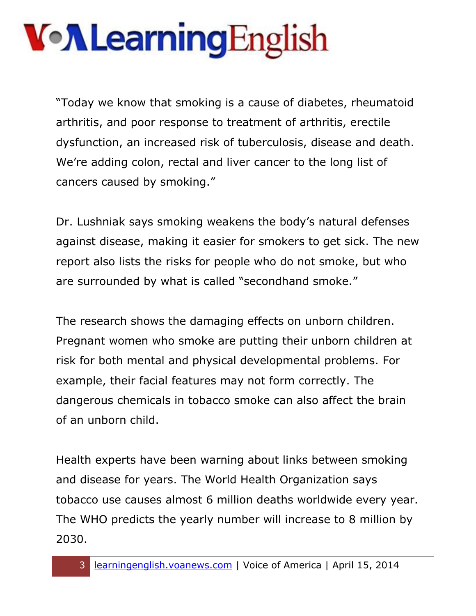## VollearningEnglish

"Today we know that smoking is a cause of diabetes, rheumatoid arthritis, and poor response to treatment of arthritis, erectile dysfunction, an increased risk of tuberculosis, disease and death. We're adding colon, rectal and liver cancer to the long list of cancers caused by smoking."

Dr. Lushniak says smoking weakens the body's natural defenses against disease, making it easier for smokers to get sick. The new report also lists the risks for people who do not smoke, but who are surrounded by what is called "secondhand smoke."

The research shows the damaging effects on unborn children. Pregnant women who smoke are putting their unborn children at risk for both mental and physical developmental problems. For example, their facial features may not form correctly. The dangerous chemicals in tobacco smoke can also affect the brain of an unborn child.

Health experts have been warning about links between smoking and disease for years. The World Health Organization says tobacco use causes almost 6 million deaths worldwide every year. The WHO predicts the yearly number will increase to 8 million by 2030.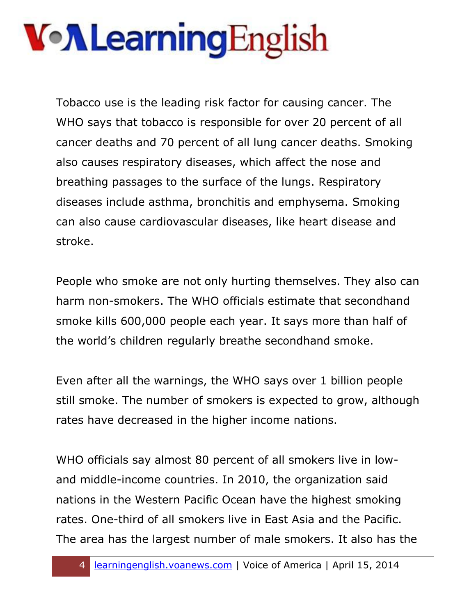Tobacco use is the leading risk factor for causing cancer. The WHO says that tobacco is responsible for over 20 percent of all cancer deaths and 70 percent of all lung cancer deaths. Smoking also causes respiratory diseases, which affect the nose and breathing passages to the surface of the lungs. Respiratory diseases include asthma, bronchitis and emphysema. Smoking can also cause cardiovascular diseases, like heart disease and stroke.

People who smoke are not only hurting themselves. They also can harm non-smokers. The WHO officials estimate that secondhand smoke kills 600,000 people each year. It says more than half of the world's children regularly breathe secondhand smoke.

Even after all the warnings, the WHO says over 1 billion people still smoke. The number of smokers is expected to grow, although rates have decreased in the higher income nations.

WHO officials say almost 80 percent of all smokers live in lowand middle-income countries. In 2010, the organization said nations in the Western Pacific Ocean have the highest smoking rates. One-third of all smokers live in East Asia and the Pacific. The area has the largest number of male smokers. It also has the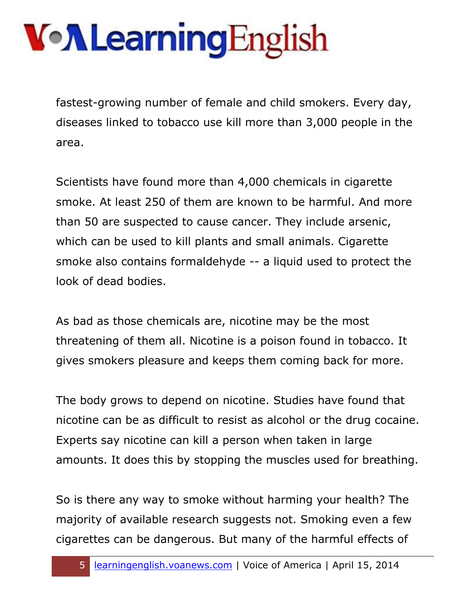fastest-growing number of female and child smokers. Every day, diseases linked to tobacco use kill more than 3,000 people in the area.

Scientists have found more than 4,000 chemicals in cigarette smoke. At least 250 of them are known to be harmful. And more than 50 are suspected to cause cancer. They include arsenic, which can be used to kill plants and small animals. Cigarette smoke also contains formaldehyde -- a liquid used to protect the look of dead bodies.

As bad as those chemicals are, nicotine may be the most threatening of them all. Nicotine is a poison found in tobacco. It gives smokers pleasure and keeps them coming back for more.

The body grows to depend on nicotine. Studies have found that nicotine can be as difficult to resist as alcohol or the drug cocaine. Experts say nicotine can kill a person when taken in large amounts. It does this by stopping the muscles used for breathing.

So is there any way to smoke without harming your health? The majority of available research suggests not. Smoking even a few cigarettes can be dangerous. But many of the harmful effects of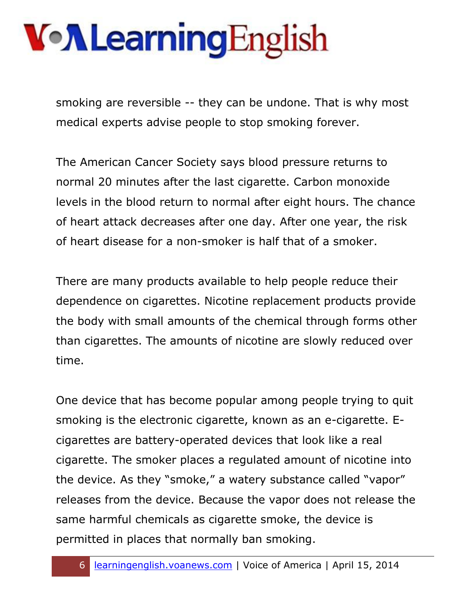smoking are reversible -- they can be undone. That is why most medical experts advise people to stop smoking forever.

The American Cancer Society says blood pressure returns to normal 20 minutes after the last cigarette. Carbon monoxide levels in the blood return to normal after eight hours. The chance of heart attack decreases after one day. After one year, the risk of heart disease for a non-smoker is half that of a smoker.

There are many products available to help people reduce their dependence on cigarettes. Nicotine replacement products provide the body with small amounts of the chemical through forms other than cigarettes. The amounts of nicotine are slowly reduced over time.

One device that has become popular among people trying to quit smoking is the electronic cigarette, known as an e-cigarette. Ecigarettes are battery-operated devices that look like a real cigarette. The smoker places a regulated amount of nicotine into the device. As they "smoke," a watery substance called "vapor" releases from the device. Because the vapor does not release the same harmful chemicals as cigarette smoke, the device is permitted in places that normally ban smoking.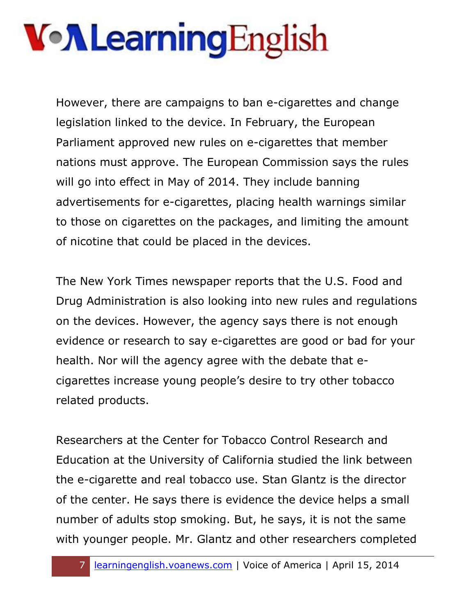However, there are campaigns to ban e-cigarettes and change legislation linked to the device. In February, the European Parliament approved new rules on e-cigarettes that member nations must approve. The European Commission says the rules will go into effect in May of 2014. They include banning advertisements for e-cigarettes, placing health warnings similar to those on cigarettes on the packages, and limiting the amount of nicotine that could be placed in the devices.

The New York Times newspaper reports that the U.S. Food and Drug Administration is also looking into new rules and regulations on the devices. However, the agency says there is not enough evidence or research to say e-cigarettes are good or bad for your health. Nor will the agency agree with the debate that ecigarettes increase young people's desire to try other tobacco related products.

Researchers at the Center for Tobacco Control Research and Education at the University of California studied the link between the e-cigarette and real tobacco use. Stan Glantz is the director of the center. He says there is evidence the device helps a small number of adults stop smoking. But, he says, it is not the same with younger people. Mr. Glantz and other researchers completed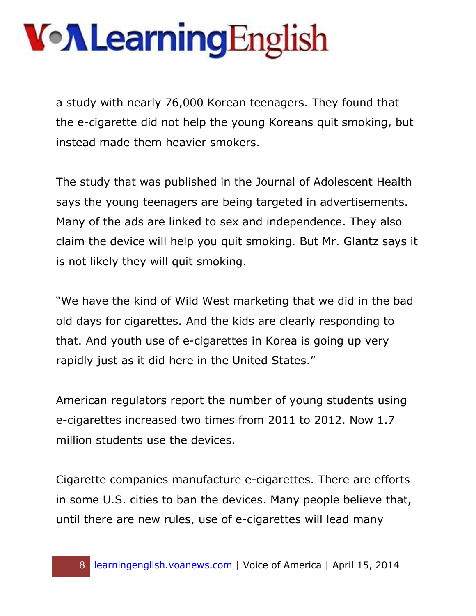a study with nearly 76,000 Korean teenagers. They found that the e-cigarette did not help the young Koreans quit smoking, but instead made them heavier smokers.

The study that was published in the Journal of Adolescent Health says the young teenagers are being targeted in advertisements. Many of the ads are linked to sex and independence. They also claim the device will help you quit smoking. But Mr. Glantz says it is not likely they will quit smoking.

"We have the kind of Wild West marketing that we did in the bad old days for cigarettes. And the kids are clearly responding to that. And youth use of e-cigarettes in Korea is going up very rapidly just as it did here in the United States."

American regulators report the number of young students using e-cigarettes increased two times from 2011 to 2012. Now 1.7 million students use the devices.

Cigarette companies manufacture e-cigarettes. There are efforts in some U.S. cities to ban the devices. Many people believe that, until there are new rules, use of e-cigarettes will lead many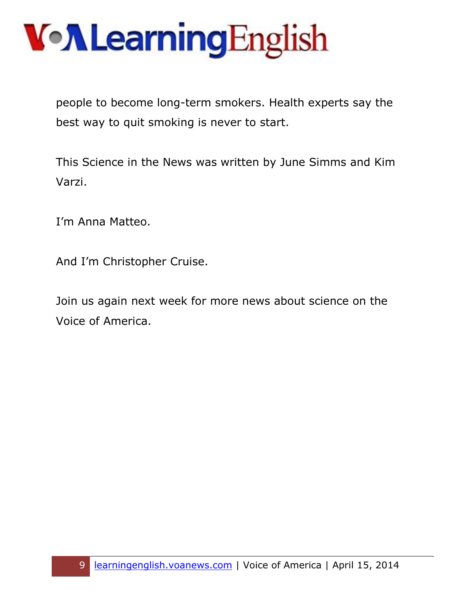people to become long-term smokers. Health experts say the best way to quit smoking is never to start.

This Science in the News was written by June Simms and Kim Varzi.

I'm Anna Matteo.

And I'm Christopher Cruise.

Join us again next week for more news about science on the Voice of America.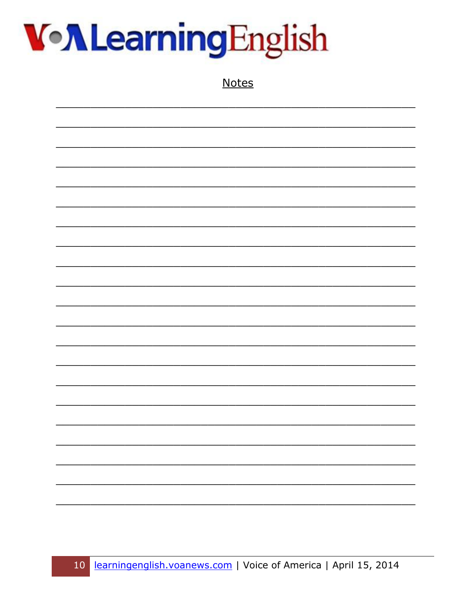

**Notes**